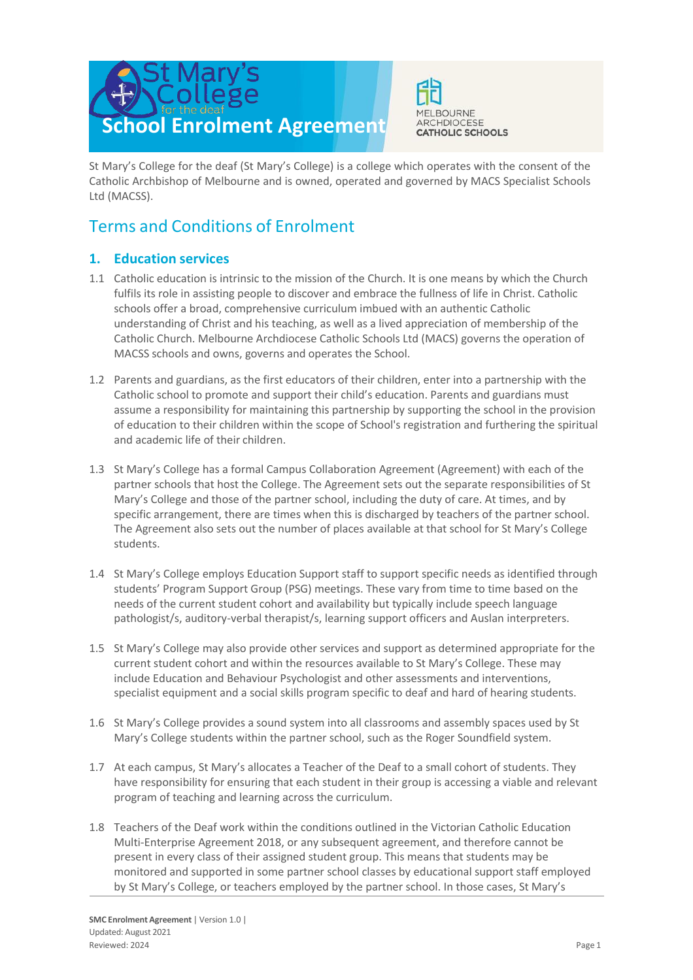



St Mary's College for the deaf (St Mary's College) is a college which operates with the consent of the Catholic Archbishop of Melbourne and is owned, operated and governed by MACS Specialist Schools Ltd (MACSS).

# Terms and Conditions of Enrolment

# **1. Education services**

- 1.1 Catholic education is intrinsic to the mission of the Church. It is one means by which the Church fulfils its role in assisting people to discover and embrace the fullness of life in Christ. Catholic schools offer a broad, comprehensive curriculum imbued with an authentic Catholic understanding of Christ and his teaching, as well as a lived appreciation of membership of the Catholic Church. Melbourne Archdiocese Catholic Schools Ltd (MACS) governs the operation of MACSS schools and owns, governs and operates the School.
- 1.2 Parents and guardians, as the first educators of their children, enter into a partnership with the Catholic school to promote and support their child's education. Parents and guardians must assume a responsibility for maintaining this partnership by supporting the school in the provision of education to their children within the scope of School's registration and furthering the spiritual and academic life of their children.
- 1.3 St Mary's College has a formal Campus Collaboration Agreement (Agreement) with each of the partner schools that host the College. The Agreement sets out the separate responsibilities of St Mary's College and those of the partner school, including the duty of care. At times, and by specific arrangement, there are times when this is discharged by teachers of the partner school. The Agreement also sets out the number of places available at that school for St Mary's College students.
- 1.4 St Mary's College employs Education Support staff to support specific needs as identified through students' Program Support Group (PSG) meetings. These vary from time to time based on the needs of the current student cohort and availability but typically include speech language pathologist/s, auditory-verbal therapist/s, learning support officers and Auslan interpreters.
- 1.5 St Mary's College may also provide other services and support as determined appropriate for the current student cohort and within the resources available to St Mary's College. These may include Education and Behaviour Psychologist and other assessments and interventions, specialist equipment and a social skills program specific to deaf and hard of hearing students.
- 1.6 St Mary's College provides a sound system into all classrooms and assembly spaces used by St Mary's College students within the partner school, such as the Roger Soundfield system.
- 1.7 At each campus, St Mary's allocates a Teacher of the Deaf to a small cohort of students. They have responsibility for ensuring that each student in their group is accessing a viable and relevant program of teaching and learning across the curriculum.
- 1.8 Teachers of the Deaf work within the conditions outlined in the Victorian Catholic Education Multi-Enterprise Agreement 2018, or any subsequent agreement, and therefore cannot be present in every class of their assigned student group. This means that students may be monitored and supported in some partner school classes by educational support staff employed by St Mary's College, or teachers employed by the partner school. In those cases, St Mary's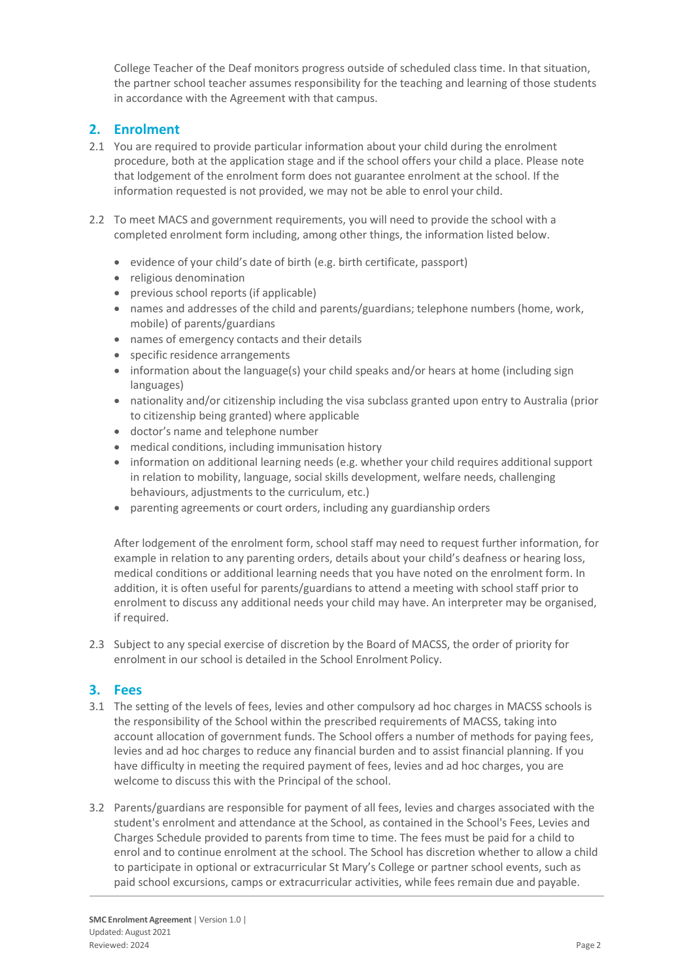College Teacher of the Deaf monitors progress outside of scheduled class time. In that situation, the partner school teacher assumes responsibility for the teaching and learning of those students in accordance with the Agreement with that campus.

# **2. Enrolment**

- 2.1 You are required to provide particular information about your child during the enrolment procedure, both at the application stage and if the school offers your child a place. Please note that lodgement of the enrolment form does not guarantee enrolment at the school. If the information requested is not provided, we may not be able to enrol your child.
- 2.2 To meet MACS and government requirements, you will need to provide the school with a completed enrolment form including, among other things, the information listed below.
	- evidence of your child's date of birth (e.g. birth certificate, passport)
	- religious denomination
	- previous school reports (if applicable)
	- names and addresses of the child and parents/guardians; telephone numbers (home, work, mobile) of parents/guardians
	- names of emergency contacts and their details
	- specific residence arrangements
	- information about the language(s) your child speaks and/or hears at home (including sign languages)
	- nationality and/or citizenship including the visa subclass granted upon entry to Australia (prior to citizenship being granted) where applicable
	- doctor's name and telephone number
	- medical conditions, including immunisation history
	- information on additional learning needs (e.g. whether your child requires additional support in relation to mobility, language, social skills development, welfare needs, challenging behaviours, adjustments to the curriculum, etc.)
	- parenting agreements or court orders, including any guardianship orders

After lodgement of the enrolment form, school staff may need to request further information, for example in relation to any parenting orders, details about your child's deafness or hearing loss, medical conditions or additional learning needs that you have noted on the enrolment form. In addition, it is often useful for parents/guardians to attend a meeting with school staff prior to enrolment to discuss any additional needs your child may have. An interpreter may be organised, if required.

2.3 Subject to any special exercise of discretion by the Board of MACSS, the order of priority for enrolment in our school is detailed in the School Enrolment Policy.

# **3. Fees**

- 3.1 The setting of the levels of fees, levies and other compulsory ad hoc charges in MACSS schools is the responsibility of the School within the prescribed requirements of MACSS, taking into account allocation of government funds. The School offers a number of methods for paying fees, levies and ad hoc charges to reduce any financial burden and to assist financial planning. If you have difficulty in meeting the required payment of fees, levies and ad hoc charges, you are welcome to discuss this with the Principal of the school.
- 3.2 Parents/guardians are responsible for payment of all fees, levies and charges associated with the student's enrolment and attendance at the School, as contained in the School's Fees, Levies and Charges Schedule provided to parents from time to time. The fees must be paid for a child to enrol and to continue enrolment at the school. The School has discretion whether to allow a child to participate in optional or extracurricular St Mary's College or partner school events, such as paid school excursions, camps or extracurricular activities, while fees remain due and payable.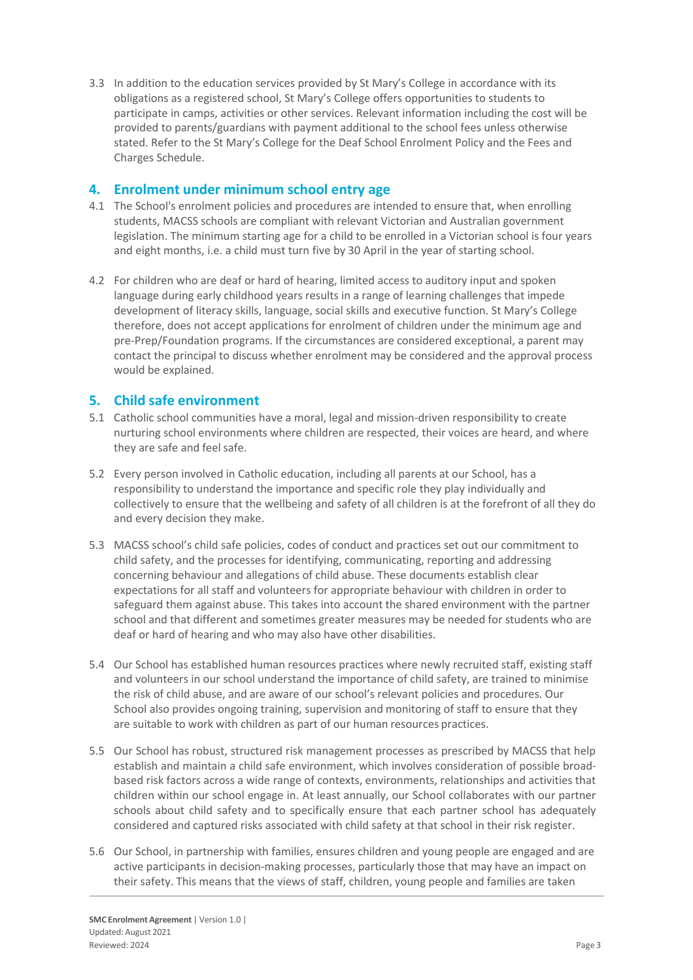3.3 In addition to the education services provided by St Mary's College in accordance with its obligations as a registered school, St Mary's College offers opportunities to students to participate in camps, activities or other services. Relevant information including the cost will be provided to parents/guardians with payment additional to the school fees unless otherwise stated. Refer to the St Mary's College for the Deaf School Enrolment Policy and the Fees and Charges Schedule.

### **4. Enrolment under minimum school entry age**

- 4.1 The School's enrolment policies and procedures are intended to ensure that, when enrolling students, MACSS schools are compliant with relevant Victorian and Australian government legislation. The minimum starting age for a child to be enrolled in a Victorian school is four years and eight months, i.e. a child must turn five by 30 April in the year of starting school.
- 4.2 For children who are deaf or hard of hearing, limited access to auditory input and spoken language during early childhood years results in a range of learning challenges that impede development of literacy skills, language, social skills and executive function. St Mary's College therefore, does not accept applications for enrolment of children under the minimum age and pre-Prep/Foundation programs. If the circumstances are considered exceptional, a parent may contact the principal to discuss whether enrolment may be considered and the approval process would be explained.

# **5. Child safe environment**

- 5.1 Catholic school communities have a moral, legal and mission-driven responsibility to create nurturing school environments where children are respected, their voices are heard, and where they are safe and feel safe.
- 5.2 Every person involved in Catholic education, including all parents at our School, has a responsibility to understand the importance and specific role they play individually and collectively to ensure that the wellbeing and safety of all children is at the forefront of all they do and every decision they make.
- 5.3 MACSS school's child safe policies, codes of conduct and practices set out our commitment to child safety, and the processes for identifying, communicating, reporting and addressing concerning behaviour and allegations of child abuse. These documents establish clear expectations for all staff and volunteers for appropriate behaviour with children in order to safeguard them against abuse. This takes into account the shared environment with the partner school and that different and sometimes greater measures may be needed for students who are deaf or hard of hearing and who may also have other disabilities.
- 5.4 Our School has established human resources practices where newly recruited staff, existing staff and volunteers in our school understand the importance of child safety, are trained to minimise the risk of child abuse, and are aware of our school's relevant policies and procedures. Our School also provides ongoing training, supervision and monitoring of staff to ensure that they are suitable to work with children as part of our human resources practices.
- 5.5 Our School has robust, structured risk management processes as prescribed by MACSS that help establish and maintain a child safe environment, which involves consideration of possible broadbased risk factors across a wide range of contexts, environments, relationships and activities that children within our school engage in. At least annually, our School collaborates with our partner schools about child safety and to specifically ensure that each partner school has adequately considered and captured risks associated with child safety at that school in their risk register.
- 5.6 Our School, in partnership with families, ensures children and young people are engaged and are active participants in decision-making processes, particularly those that may have an impact on their safety. This means that the views of staff, children, young people and families are taken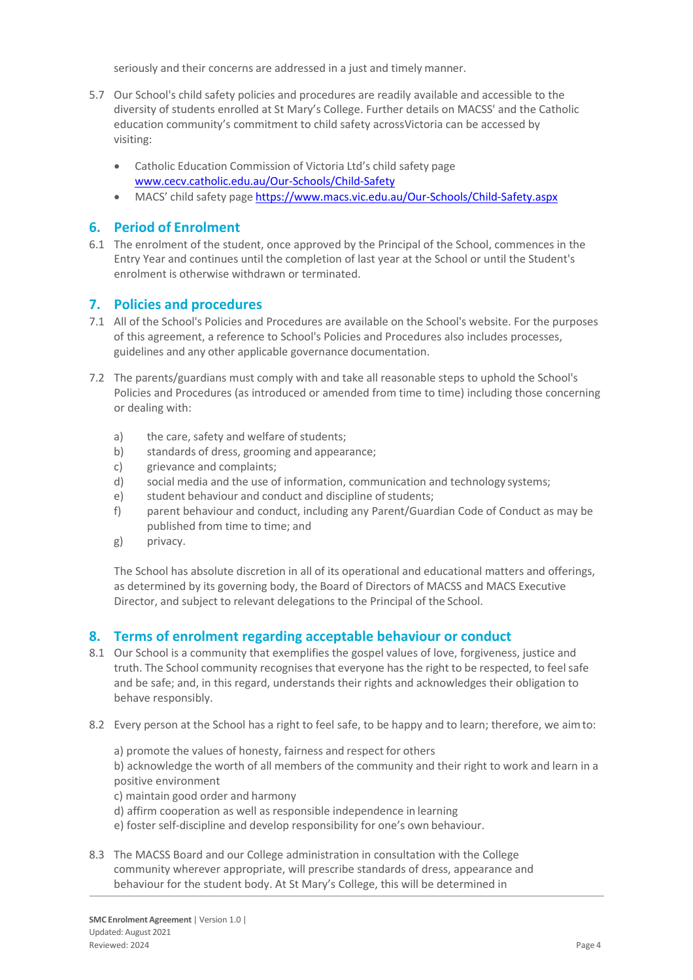seriously and their concerns are addressed in a just and timely manner.

- 5.7 Our School's child safety policies and procedures are readily available and accessible to the diversity of students enrolled at St Mary's College. Further details on MACSS' and the Catholic education community's commitment to child safety acrossVictoria can be accessed by visiting:
	- Catholic Education Commission of Victoria Ltd's child safety page [www.cecv.catholic.edu.au/Our-Schools/Child-Safety](http://www.cecv.catholic.edu.au/Our-Schools/Child-Safety)
	- MACS' child safety page <https://www.macs.vic.edu.au/Our-Schools/Child-Safety.aspx>

# **6. Period of Enrolment**

6.1 The enrolment of the student, once approved by the Principal of the School, commences in the Entry Year and continues until the completion of last year at the School or until the Student's enrolment is otherwise withdrawn or terminated.

### **7. Policies and procedures**

- 7.1 All of the School's Policies and Procedures are available on the School's website. For the purposes of this agreement, a reference to School's Policies and Procedures also includes processes, guidelines and any other applicable governance documentation.
- 7.2 The parents/guardians must comply with and take all reasonable steps to uphold the School's Policies and Procedures (as introduced or amended from time to time) including those concerning or dealing with:
	- a) the care, safety and welfare of students;
	- b) standards of dress, grooming and appearance;
	- c) grievance and complaints;
	- d) social media and the use of information, communication and technology systems;
	- e) student behaviour and conduct and discipline of students;
	- f) parent behaviour and conduct, including any Parent/Guardian Code of Conduct as may be published from time to time; and
	- g) privacy.

The School has absolute discretion in all of its operational and educational matters and offerings, as determined by its governing body, the Board of Directors of MACSS and MACS Executive Director, and subject to relevant delegations to the Principal of the School.

#### **8. Terms of enrolment regarding acceptable behaviour or conduct**

- 8.1 Our School is a community that exemplifies the gospel values of love, forgiveness, justice and truth. The School community recognises that everyone has the right to be respected, to feel safe and be safe; and, in this regard, understands their rights and acknowledges their obligation to behave responsibly.
- 8.2 Every person at the School has a right to feel safe, to be happy and to learn; therefore, we aimto:
	- a) promote the values of honesty, fairness and respect for others

b) acknowledge the worth of all members of the community and their right to work and learn in a positive environment

- c) maintain good order and harmony
- d) affirm cooperation as well as responsible independence in learning
- e) foster self-discipline and develop responsibility for one's own behaviour.
- 8.3 The MACSS Board and our College administration in consultation with the College community wherever appropriate, will prescribe standards of dress, appearance and behaviour for the student body. At St Mary's College, this will be determined in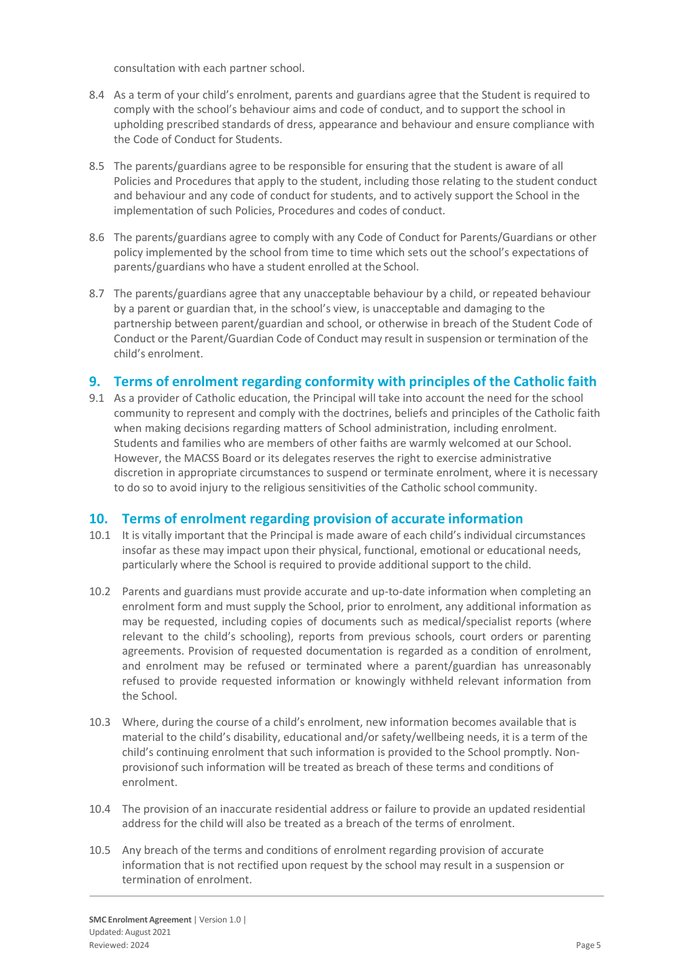consultation with each partner school.

- 8.4 As a term of your child's enrolment, parents and guardians agree that the Student is required to comply with the school's behaviour aims and code of conduct, and to support the school in upholding prescribed standards of dress, appearance and behaviour and ensure compliance with the Code of Conduct for Students.
- 8.5 The parents/guardians agree to be responsible for ensuring that the student is aware of all Policies and Procedures that apply to the student, including those relating to the student conduct and behaviour and any code of conduct for students, and to actively support the School in the implementation of such Policies, Procedures and codes of conduct.
- 8.6 The parents/guardians agree to comply with any Code of Conduct for Parents/Guardians or other policy implemented by the school from time to time which sets out the school's expectations of parents/guardians who have a student enrolled at the School.
- 8.7 The parents/guardians agree that any unacceptable behaviour by a child, or repeated behaviour by a parent or guardian that, in the school's view, is unacceptable and damaging to the partnership between parent/guardian and school, or otherwise in breach of the Student Code of Conduct or the Parent/Guardian Code of Conduct may result in suspension or termination of the child's enrolment.

# **9. Terms of enrolment regarding conformity with principles of the Catholic faith**

9.1 As a provider of Catholic education, the Principal will take into account the need for the school community to represent and comply with the doctrines, beliefs and principles of the Catholic faith when making decisions regarding matters of School administration, including enrolment. Students and families who are members of other faiths are warmly welcomed at our School. However, the MACSS Board or its delegates reserves the right to exercise administrative discretion in appropriate circumstances to suspend or terminate enrolment, where it is necessary to do so to avoid injury to the religious sensitivities of the Catholic school community.

# **10. Terms of enrolment regarding provision of accurate information**

- 10.1 It is vitally important that the Principal is made aware of each child's individual circumstances insofar as these may impact upon their physical, functional, emotional or educational needs, particularly where the School is required to provide additional support to the child.
- 10.2 Parents and guardians must provide accurate and up-to-date information when completing an enrolment form and must supply the School, prior to enrolment, any additional information as may be requested, including copies of documents such as medical/specialist reports (where relevant to the child's schooling), reports from previous schools, court orders or parenting agreements. Provision of requested documentation is regarded as a condition of enrolment, and enrolment may be refused or terminated where a parent/guardian has unreasonably refused to provide requested information or knowingly withheld relevant information from the School.
- 10.3 Where, during the course of a child's enrolment, new information becomes available that is material to the child's disability, educational and/or safety/wellbeing needs, it is a term of the child's continuing enrolment that such information is provided to the School promptly. Nonprovisionof such information will be treated as breach of these terms and conditions of enrolment.
- 10.4 The provision of an inaccurate residential address or failure to provide an updated residential address for the child will also be treated as a breach of the terms of enrolment.
- 10.5 Any breach of the terms and conditions of enrolment regarding provision of accurate information that is not rectified upon request by the school may result in a suspension or termination of enrolment.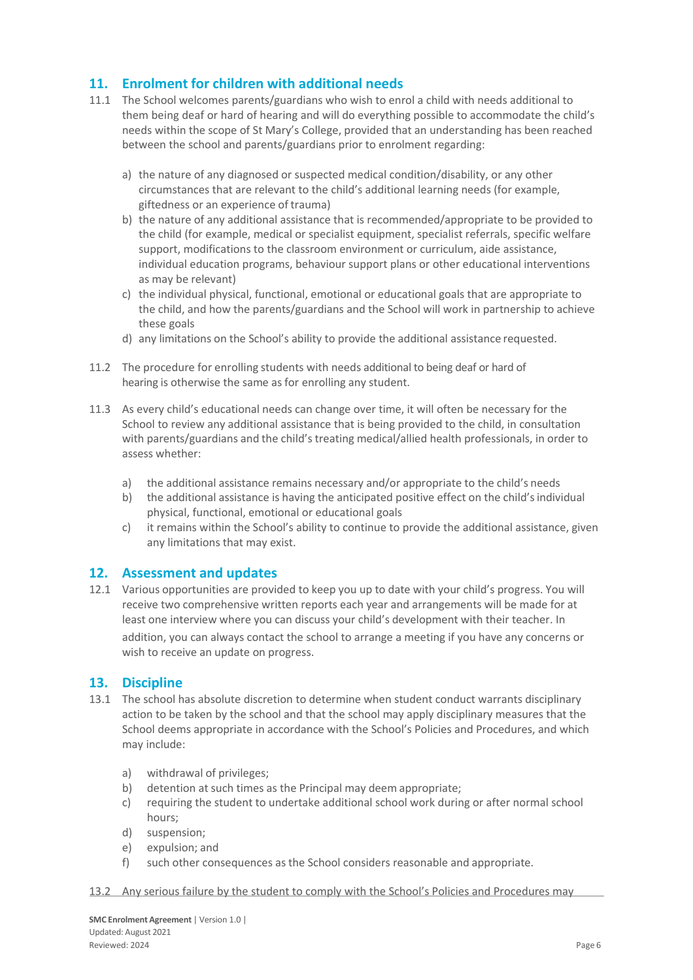# **11. Enrolment for children with additional needs**

- 11.1 The School welcomes parents/guardians who wish to enrol a child with needs additional to them being deaf or hard of hearing and will do everything possible to accommodate the child's needs within the scope of St Mary's College, provided that an understanding has been reached between the school and parents/guardians prior to enrolment regarding:
	- a) the nature of any diagnosed or suspected medical condition/disability, or any other circumstances that are relevant to the child's additional learning needs (for example, giftedness or an experience of trauma)
	- b) the nature of any additional assistance that is recommended/appropriate to be provided to the child (for example, medical or specialist equipment, specialist referrals, specific welfare support, modifications to the classroom environment or curriculum, aide assistance, individual education programs, behaviour support plans or other educational interventions as may be relevant)
	- c) the individual physical, functional, emotional or educational goals that are appropriate to the child, and how the parents/guardians and the School will work in partnership to achieve these goals
	- d) any limitations on the School's ability to provide the additional assistance requested.
- 11.2 The procedure for enrolling students with needs additional to being deaf or hard of hearing is otherwise the same as for enrolling any student.
- 11.3 As every child's educational needs can change over time, it will often be necessary for the School to review any additional assistance that is being provided to the child, in consultation with parents/guardians and the child's treating medical/allied health professionals, in order to assess whether:
	- a) the additional assistance remains necessary and/or appropriate to the child's needs
	- b) the additional assistance is having the anticipated positive effect on the child's individual physical, functional, emotional or educational goals
	- c) it remains within the School's ability to continue to provide the additional assistance, given any limitations that may exist.

#### **12. Assessment and updates**

12.1 Various opportunities are provided to keep you up to date with your child's progress. You will receive two comprehensive written reports each year and arrangements will be made for at least one interview where you can discuss your child's development with their teacher. In addition, you can always contact the school to arrange a meeting if you have any concerns or wish to receive an update on progress.

#### **13. Discipline**

- 13.1 The school has absolute discretion to determine when student conduct warrants disciplinary action to be taken by the school and that the school may apply disciplinary measures that the School deems appropriate in accordance with the School's Policies and Procedures, and which may include:
	- a) withdrawal of privileges;
	- b) detention at such times as the Principal may deem appropriate;
	- c) requiring the student to undertake additional school work during or after normal school hours;
	- d) suspension;
	- e) expulsion; and
	- f) such other consequences asthe School considers reasonable and appropriate.
- 13.2 Any serious failure by the student to comply with the School's Policies and Procedures may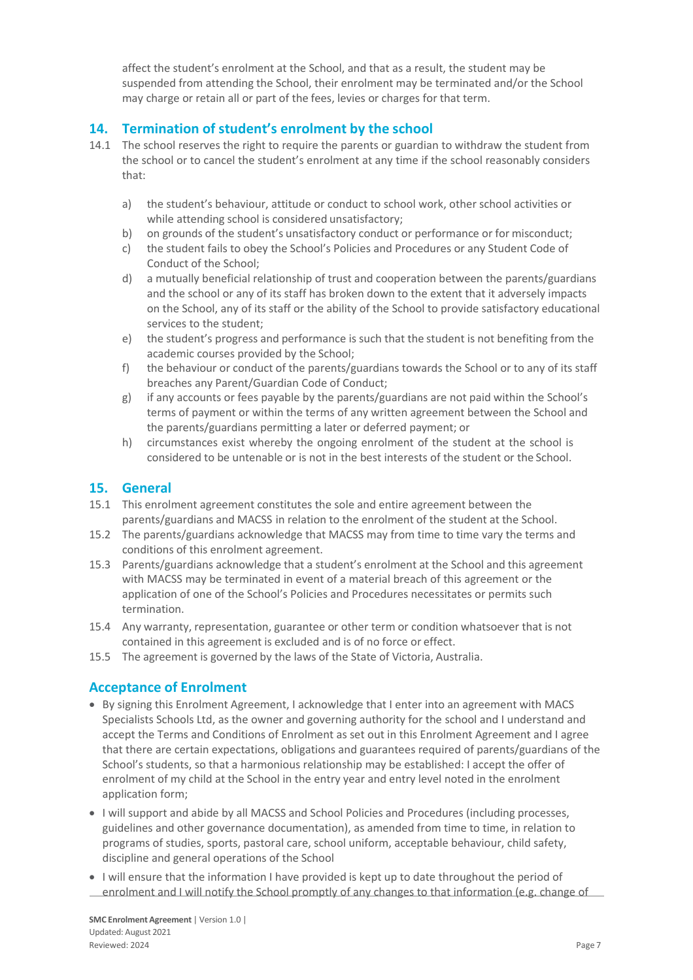affect the student's enrolment at the School, and that as a result, the student may be suspended from attending the School, their enrolment may be terminated and/or the School may charge or retain all or part of the fees, levies or charges for that term.

# **14. Termination of student's enrolment by the school**

- 14.1 The school reserves the right to require the parents or guardian to withdraw the student from the school or to cancel the student's enrolment at any time if the school reasonably considers that:
	- a) the student's behaviour, attitude or conduct to school work, other school activities or while attending school is considered unsatisfactory;
	- b) on grounds of the student's unsatisfactory conduct or performance or for misconduct;
	- c) the student fails to obey the School's Policies and Procedures or any Student Code of Conduct of the School;
	- d) a mutually beneficial relationship of trust and cooperation between the parents/guardians and the school or any of its staff has broken down to the extent that it adversely impacts on the School, any of its staff or the ability of the School to provide satisfactory educational services to the student;
	- e) the student's progress and performance is such that the student is not benefiting from the academic courses provided by the School;
	- f) the behaviour or conduct of the parents/guardians towards the School or to any of its staff breaches any Parent/Guardian Code of Conduct;
	- g) if any accounts or fees payable by the parents/guardians are not paid within the School's terms of payment or within the terms of any written agreement between the School and the parents/guardians permitting a later or deferred payment; or
	- h) circumstances exist whereby the ongoing enrolment of the student at the school is considered to be untenable or is not in the best interests of the student or the School.

## **15. General**

- 15.1 This enrolment agreement constitutes the sole and entire agreement between the parents/guardians and MACSS in relation to the enrolment of the student at the School.
- 15.2 The parents/guardians acknowledge that MACSS may from time to time vary the terms and conditions of this enrolment agreement.
- 15.3 Parents/guardians acknowledge that a student's enrolment at the School and this agreement with MACSS may be terminated in event of a material breach of this agreement or the application of one of the School's Policies and Procedures necessitates or permits such termination.
- 15.4 Any warranty, representation, guarantee or other term or condition whatsoever that is not contained in this agreement is excluded and is of no force or effect.
- 15.5 The agreement is governed by the laws of the State of Victoria, Australia.

# **Acceptance of Enrolment**

- By signing this Enrolment Agreement, I acknowledge that I enter into an agreement with MACS Specialists Schools Ltd, as the owner and governing authority for the school and I understand and accept the Terms and Conditions of Enrolment as set out in this Enrolment Agreement and I agree that there are certain expectations, obligations and guarantees required of parents/guardians of the School's students, so that a harmonious relationship may be established: I accept the offer of enrolment of my child at the School in the entry year and entry level noted in the enrolment application form;
- I will support and abide by all MACSS and School Policies and Procedures (including processes, guidelines and other governance documentation), as amended from time to time, in relation to programs of studies, sports, pastoral care, school uniform, acceptable behaviour, child safety, discipline and general operations of the School
- I will ensure that the information I have provided is kept up to date throughout the period of enrolment and I will notify the School promptly of any changes to that information (e.g. change of